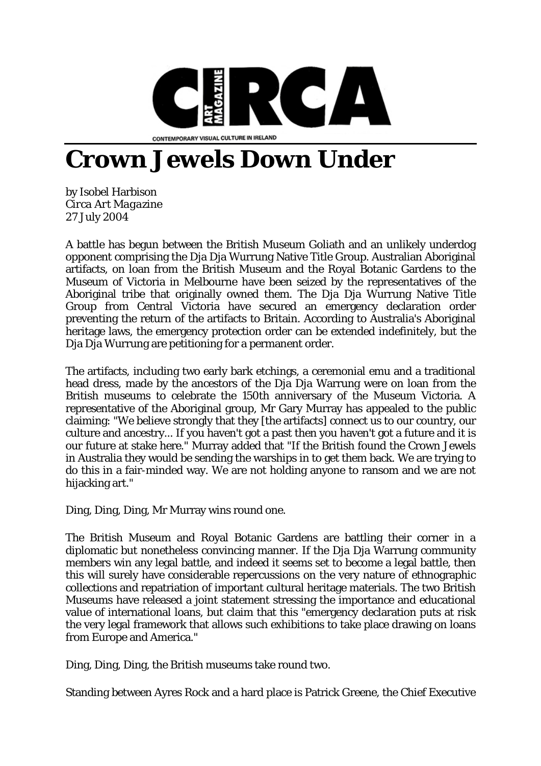

## **Crown Jewels Down Under**

by Isobel Harbison *Circa Art Magazine* 27 July 2004

A battle has begun between the British Museum Goliath and an unlikely underdog opponent comprising the Dja Dja Wurrung Native Title Group. Australian Aboriginal artifacts, on loan from the British Museum and the Royal Botanic Gardens to the Museum of Victoria in Melbourne have been seized by the representatives of the Aboriginal tribe that originally owned them. The Dja Dja Wurrung Native Title Group from Central Victoria have secured an emergency declaration order preventing the return of the artifacts to Britain. According to Australia's Aboriginal heritage laws, the emergency protection order can be extended indefinitely, but the Dia Dia Wurrung are petitioning for a permanent order.

The artifacts, including two early bark etchings, a ceremonial emu and a traditional head dress, made by the ancestors of the Dja Dja Warrung were on loan from the British museums to celebrate the 150th anniversary of the Museum Victoria. A representative of the Aboriginal group, Mr Gary Murray has appealed to the public claiming: "We believe strongly that they [the artifacts] connect us to our country, our culture and ancestry... If you haven't got a past then you haven't got a future and it is our future at stake here." Murray added that "If the British found the Crown Jewels in Australia they would be sending the warships in to get them back. We are trying to do this in a fair-minded way. We are not holding anyone to ransom and we are not hijacking art."

Ding, Ding, Ding, Mr Murray wins round one.

The British Museum and Royal Botanic Gardens are battling their corner in a diplomatic but nonetheless convincing manner. If the Dja Dja Warrung community members win any legal battle, and indeed it seems set to become a legal battle, then this will surely have considerable repercussions on the very nature of ethnographic collections and repatriation of important cultural heritage materials. The two British Museums have released a joint statement stressing the importance and educational value of international loans, but claim that this "emergency declaration puts at risk the very legal framework that allows such exhibitions to take place drawing on loans from Europe and America."

Ding, Ding, Ding, the British museums take round two.

Standing between Ayres Rock and a hard place is Patrick Greene, the Chief Executive